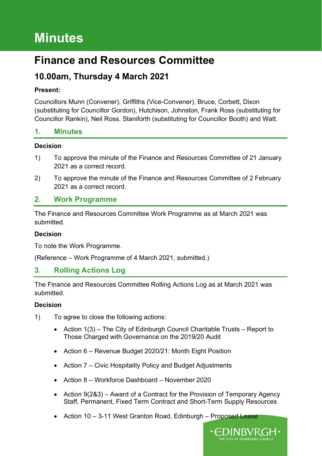# **Minutes**

## **Finance and Resources Committee**

## **10.00am, Thursday 4 March 2021**

#### **Present:**

Councillors Munn (Convener), Griffiths (Vice-Convener), Bruce, Corbett, Dixon (substituting for Councillor Gordon), Hutchison, Johnston, Frank Ross (substituting for Councillor Rankin), Neil Ross, Staniforth (substituting for Councillor Booth) and Watt.

#### **1. Minutes**

#### **Decision**

- 1) To approve the minute of the Finance and Resources Committee of 21 January 2021 as a correct record.
- 2) To approve the minute of the Finance and Resources Committee of 2 February 2021 as a correct record.

## **2. Work Programme**

The Finance and Resources Committee Work Programme as at March 2021 was submitted.

#### **Decision**

To note the Work Programme.

(Reference – Work Programme of 4 March 2021, submitted.)

#### **3. Rolling Actions Log**

The Finance and Resources Committee Rolling Actions Log as at March 2021 was submitted.

- 1) To agree to close the following actions:
	- Action 1(3) The City of Edinburgh Council Charitable Trusts Report to Those Charged with Governance on the 2019/20 Audit
	- Action 6 Revenue Budget 2020/21: Month Eight Position
	- Action 7 Civic Hospitality Policy and Budget Adjustments
	- Action 8 Workforce Dashboard November 2020
	- Action 9(2&3) Award of a Contract for the Provision of Temporary Agency Staff, Permanent, Fixed Term Contract and Short-Term Supply Resources
	- Action 10 3-11 West Granton Road, Edinburgh Proposed Lease

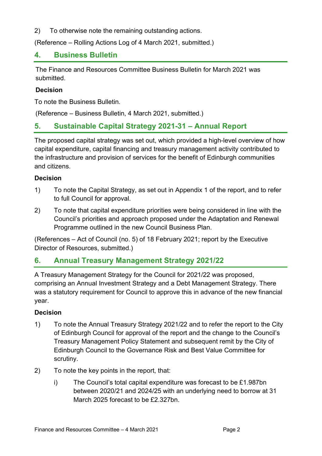2) To otherwise note the remaining outstanding actions.

(Reference – Rolling Actions Log of 4 March 2021, submitted.)

#### **4. Business Bulletin**

The Finance and Resources Committee Business Bulletin for March 2021 was submitted.

#### **Decision**

To note the Business Bulletin.

(Reference – Business Bulletin, 4 March 2021, submitted.)

#### **5. Sustainable Capital Strategy 2021-31 – Annual Report**

The proposed capital strategy was set out, which provided a high-level overview of how capital expenditure, capital financing and treasury management activity contributed to the infrastructure and provision of services for the benefit of Edinburgh communities and citizens.

#### **Decision**

- 1) To note the Capital Strategy, as set out in Appendix 1 of the report, and to refer to full Council for approval.
- 2) To note that capital expenditure priorities were being considered in line with the Council's priorities and approach proposed under the Adaptation and Renewal Programme outlined in the new Council Business Plan.

(References – Act of Council (no. 5) of 18 February 2021; report by the Executive Director of Resources, submitted.)

#### **6. Annual Treasury Management Strategy 2021/22**

A Treasury Management Strategy for the Council for 2021/22 was proposed, comprising an Annual Investment Strategy and a Debt Management Strategy. There was a statutory requirement for Council to approve this in advance of the new financial year.

- 1) To note the Annual Treasury Strategy 2021/22 and to refer the report to the City of Edinburgh Council for approval of the report and the change to the Council's Treasury Management Policy Statement and subsequent remit by the City of Edinburgh Council to the Governance Risk and Best Value Committee for scrutiny.
- 2) To note the key points in the report, that:
	- i) The Council's total capital expenditure was forecast to be £1.987bn between 2020/21 and 2024/25 with an underlying need to borrow at 31 March 2025 forecast to be £2.327bn.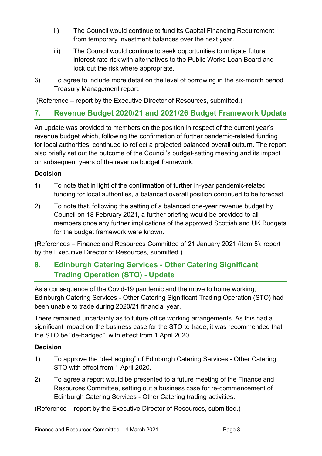- ii) The Council would continue to fund its Capital Financing Requirement from temporary investment balances over the next year.
- iii) The Council would continue to seek opportunities to mitigate future interest rate risk with alternatives to the Public Works Loan Board and lock out the risk where appropriate.
- 3) To agree to include more detail on the level of borrowing in the six-month period Treasury Management report.

(Reference – report by the Executive Director of Resources, submitted.)

## **7. Revenue Budget 2020/21 and 2021/26 Budget Framework Update**

An update was provided to members on the position in respect of the current year's revenue budget which, following the confirmation of further pandemic-related funding for local authorities, continued to reflect a projected balanced overall outturn. The report also briefly set out the outcome of the Council's budget-setting meeting and its impact on subsequent years of the revenue budget framework.

#### **Decision**

- 1) To note that in light of the confirmation of further in-year pandemic-related funding for local authorities, a balanced overall position continued to be forecast.
- 2) To note that, following the setting of a balanced one-year revenue budget by Council on 18 February 2021, a further briefing would be provided to all members once any further implications of the approved Scottish and UK Budgets for the budget framework were known.

(References – Finance and Resources Committee of 21 January 2021 (item 5); report by the Executive Director of Resources, submitted.)

## **8. Edinburgh Catering Services - Other Catering Significant Trading Operation (STO) - Update**

As a consequence of the Covid-19 pandemic and the move to home working, Edinburgh Catering Services - Other Catering Significant Trading Operation (STO) had been unable to trade during 2020/21 financial year.

There remained uncertainty as to future office working arrangements. As this had a significant impact on the business case for the STO to trade, it was recommended that the STO be "de-badged", with effect from 1 April 2020.

#### **Decision**

- 1) To approve the "de-badging" of Edinburgh Catering Services Other Catering STO with effect from 1 April 2020.
- 2) To agree a report would be presented to a future meeting of the Finance and Resources Committee, setting out a business case for re-commencement of Edinburgh Catering Services - Other Catering trading activities.

(Reference – report by the Executive Director of Resources, submitted.)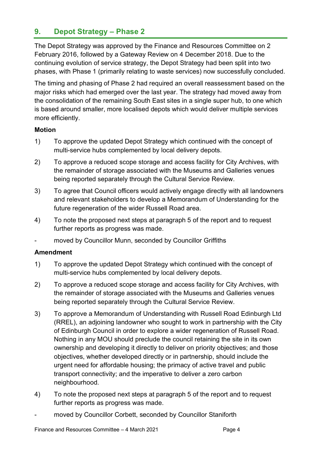## **9. Depot Strategy – Phase 2**

The Depot Strategy was approved by the Finance and Resources Committee on 2 February 2016, followed by a Gateway Review on 4 December 2018. Due to the continuing evolution of service strategy, the Depot Strategy had been split into two phases, with Phase 1 (primarily relating to waste services) now successfully concluded.

The timing and phasing of Phase 2 had required an overall reassessment based on the major risks which had emerged over the last year. The strategy had moved away from the consolidation of the remaining South East sites in a single super hub, to one which is based around smaller, more localised depots which would deliver multiple services more efficiently.

#### **Motion**

- 1) To approve the updated Depot Strategy which continued with the concept of multi-service hubs complemented by local delivery depots.
- 2) To approve a reduced scope storage and access facility for City Archives, with the remainder of storage associated with the Museums and Galleries venues being reported separately through the Cultural Service Review.
- 3) To agree that Council officers would actively engage directly with all landowners and relevant stakeholders to develop a Memorandum of Understanding for the future regeneration of the wider Russell Road area.
- 4) To note the proposed next steps at paragraph 5 of the report and to request further reports as progress was made.
- moved by Councillor Munn, seconded by Councillor Griffiths

#### **Amendment**

- 1) To approve the updated Depot Strategy which continued with the concept of multi-service hubs complemented by local delivery depots.
- 2) To approve a reduced scope storage and access facility for City Archives, with the remainder of storage associated with the Museums and Galleries venues being reported separately through the Cultural Service Review.
- 3) To approve a Memorandum of Understanding with Russell Road Edinburgh Ltd (RREL), an adjoining landowner who sought to work in partnership with the City of Edinburgh Council in order to explore a wider regeneration of Russell Road. Nothing in any MOU should preclude the council retaining the site in its own ownership and developing it directly to deliver on priority objectives; and those objectives, whether developed directly or in partnership, should include the urgent need for affordable housing; the primacy of active travel and public transport connectivity; and the imperative to deliver a zero carbon neighbourhood.
- 4) To note the proposed next steps at paragraph 5 of the report and to request further reports as progress was made.
- moved by Councillor Corbett, seconded by Councillor Staniforth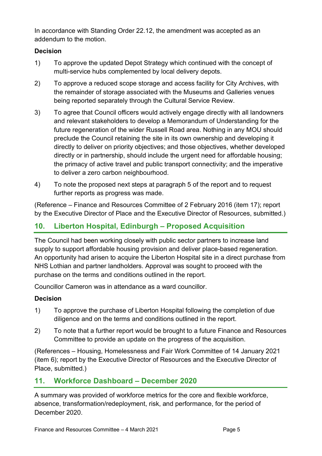In accordance with Standing Order 22.12, the amendment was accepted as an addendum to the motion.

#### **Decision**

- 1) To approve the updated Depot Strategy which continued with the concept of multi-service hubs complemented by local delivery depots.
- 2) To approve a reduced scope storage and access facility for City Archives, with the remainder of storage associated with the Museums and Galleries venues being reported separately through the Cultural Service Review.
- 3) To agree that Council officers would actively engage directly with all landowners and relevant stakeholders to develop a Memorandum of Understanding for the future regeneration of the wider Russell Road area. Nothing in any MOU should preclude the Council retaining the site in its own ownership and developing it directly to deliver on priority objectives; and those objectives, whether developed directly or in partnership, should include the urgent need for affordable housing; the primacy of active travel and public transport connectivity; and the imperative to deliver a zero carbon neighbourhood.
- 4) To note the proposed next steps at paragraph 5 of the report and to request further reports as progress was made.

(Reference – Finance and Resources Committee of 2 February 2016 (item 17); report by the Executive Director of Place and the Executive Director of Resources, submitted.)

## **10. Liberton Hospital, Edinburgh – Proposed Acquisition**

The Council had been working closely with public sector partners to increase land supply to support affordable housing provision and deliver place-based regeneration. An opportunity had arisen to acquire the Liberton Hospital site in a direct purchase from NHS Lothian and partner landholders. Approval was sought to proceed with the purchase on the terms and conditions outlined in the report.

Councillor Cameron was in attendance as a ward councillor.

#### **Decision**

- 1) To approve the purchase of Liberton Hospital following the completion of due diligence and on the terms and conditions outlined in the report.
- 2) To note that a further report would be brought to a future Finance and Resources Committee to provide an update on the progress of the acquisition.

(References – Housing, Homelessness and Fair Work Committee of 14 January 2021 (item 6); report by the Executive Director of Resources and the Executive Director of Place, submitted.)

## **11. Workforce Dashboard – December 2020**

A summary was provided of workforce metrics for the core and flexible workforce, absence, transformation/redeployment, risk, and performance, for the period of December 2020.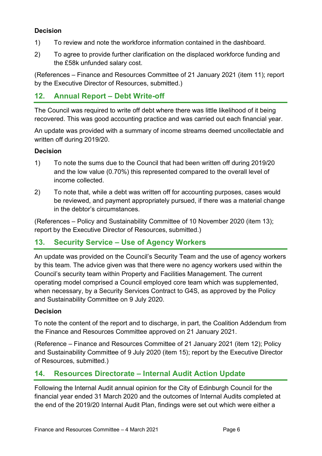#### **Decision**

- 1) To review and note the workforce information contained in the dashboard.
- 2) To agree to provide further clarification on the displaced workforce funding and the £58k unfunded salary cost.

(References – Finance and Resources Committee of 21 January 2021 (item 11); report by the Executive Director of Resources, submitted.)

#### **12. Annual Report – Debt Write-off**

The Council was required to write off debt where there was little likelihood of it being recovered. This was good accounting practice and was carried out each financial year.

An update was provided with a summary of income streams deemed uncollectable and written off during 2019/20.

#### **Decision**

- 1) To note the sums due to the Council that had been written off during 2019/20 and the low value (0.70%) this represented compared to the overall level of income collected.
- 2) To note that, while a debt was written off for accounting purposes, cases would be reviewed, and payment appropriately pursued, if there was a material change in the debtor's circumstances.

(References – Policy and Sustainability Committee of 10 November 2020 (item 13); report by the Executive Director of Resources, submitted.)

#### **13. Security Service – Use of Agency Workers**

An update was provided on the Council's Security Team and the use of agency workers by this team. The advice given was that there were no agency workers used within the Council's security team within Property and Facilities Management. The current operating model comprised a Council employed core team which was supplemented, when necessary, by a Security Services Contract to G4S, as approved by the Policy and Sustainability Committee on 9 July 2020.

#### **Decision**

To note the content of the report and to discharge, in part, the Coalition Addendum from the Finance and Resources Committee approved on 21 January 2021.

(Reference – Finance and Resources Committee of 21 January 2021 (item 12); Policy and Sustainability Committee of 9 July 2020 (item 15); report by the Executive Director of Resources, submitted.)

#### **14. Resources Directorate – Internal Audit Action Update**

Following the Internal Audit annual opinion for the City of Edinburgh Council for the financial year ended 31 March 2020 and the outcomes of Internal Audits completed at the end of the 2019/20 Internal Audit Plan, findings were set out which were either a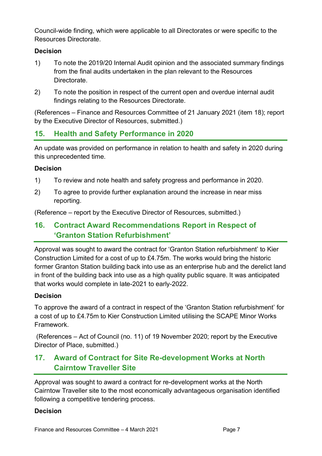Council-wide finding, which were applicable to all Directorates or were specific to the Resources Directorate.

#### **Decision**

- 1) To note the 2019/20 Internal Audit opinion and the associated summary findings from the final audits undertaken in the plan relevant to the Resources Directorate.
- 2) To note the position in respect of the current open and overdue internal audit findings relating to the Resources Directorate.

(References – Finance and Resources Committee of 21 January 2021 (item 18); report by the Executive Director of Resources, submitted.)

## **15. Health and Safety Performance in 2020**

An update was provided on performance in relation to health and safety in 2020 during this unprecedented time.

#### **Decision**

- 1) To review and note health and safety progress and performance in 2020.
- 2) To agree to provide further explanation around the increase in near miss reporting.

(Reference – report by the Executive Director of Resources, submitted.)

## **16. Contract Award Recommendations Report in Respect of 'Granton Station Refurbishment'**

Approval was sought to award the contract for 'Granton Station refurbishment' to Kier Construction Limited for a cost of up to £4.75m. The works would bring the historic former Granton Station building back into use as an enterprise hub and the derelict land in front of the building back into use as a high quality public square. It was anticipated that works would complete in late-2021 to early-2022.

#### **Decision**

To approve the award of a contract in respect of the 'Granton Station refurbishment' for a cost of up to £4.75m to Kier Construction Limited utilising the SCAPE Minor Works Framework.

(References – Act of Council (no. 11) of 19 November 2020; report by the Executive Director of Place, submitted.)

## **17. Award of Contract for Site Re-development Works at North Cairntow Traveller Site**

Approval was sought to award a contract for re-development works at the North Cairntow Traveller site to the most economically advantageous organisation identified following a competitive tendering process.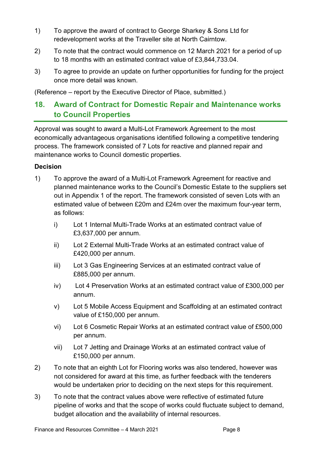- 1) To approve the award of contract to George Sharkey & Sons Ltd for redevelopment works at the Traveller site at North Cairntow.
- 2) To note that the contract would commence on 12 March 2021 for a period of up to 18 months with an estimated contract value of £3,844,733.04.
- 3) To agree to provide an update on further opportunities for funding for the project once more detail was known.

(Reference – report by the Executive Director of Place, submitted.)

## **18. Award of Contract for Domestic Repair and Maintenance works to Council Properties**

Approval was sought to award a Multi-Lot Framework Agreement to the most economically advantageous organisations identified following a competitive tendering process. The framework consisted of 7 Lots for reactive and planned repair and maintenance works to Council domestic properties.

- 1) To approve the award of a Multi-Lot Framework Agreement for reactive and planned maintenance works to the Council's Domestic Estate to the suppliers set out in Appendix 1 of the report. The framework consisted of seven Lots with an estimated value of between £20m and £24m over the maximum four-year term, as follows:
	- i) Lot 1 Internal Multi-Trade Works at an estimated contract value of £3,637,000 per annum.
	- ii) Lot 2 External Multi-Trade Works at an estimated contract value of £420,000 per annum.
	- iii) Lot 3 Gas Engineering Services at an estimated contract value of £885,000 per annum.
	- iv) Lot 4 Preservation Works at an estimated contract value of £300,000 per annum.
	- v) Lot 5 Mobile Access Equipment and Scaffolding at an estimated contract value of £150,000 per annum.
	- vi) Lot 6 Cosmetic Repair Works at an estimated contract value of £500,000 per annum.
	- vii) Lot 7 Jetting and Drainage Works at an estimated contract value of £150,000 per annum.
- 2) To note that an eighth Lot for Flooring works was also tendered, however was not considered for award at this time, as further feedback with the tenderers would be undertaken prior to deciding on the next steps for this requirement.
- 3) To note that the contract values above were reflective of estimated future pipeline of works and that the scope of works could fluctuate subject to demand, budget allocation and the availability of internal resources.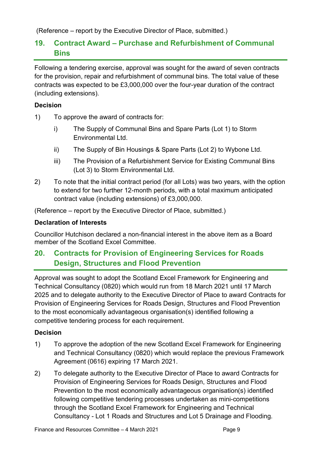(Reference – report by the Executive Director of Place, submitted.)

## **19. Contract Award – Purchase and Refurbishment of Communal Bins**

Following a tendering exercise, approval was sought for the award of seven contracts for the provision, repair and refurbishment of communal bins. The total value of these contracts was expected to be £3,000,000 over the four-year duration of the contract (including extensions).

#### **Decision**

- 1) To approve the award of contracts for:
	- i) The Supply of Communal Bins and Spare Parts (Lot 1) to Storm Environmental Ltd.
	- ii) The Supply of Bin Housings & Spare Parts (Lot 2) to Wybone Ltd.
	- iii) The Provision of a Refurbishment Service for Existing Communal Bins (Lot 3) to Storm Environmental Ltd.
- 2) To note that the initial contract period (for all Lots) was two years, with the option to extend for two further 12-month periods, with a total maximum anticipated contract value (including extensions) of £3,000,000.

(Reference – report by the Executive Director of Place, submitted.)

#### **Declaration of Interests**

Councillor Hutchison declared a non-financial interest in the above item as a Board member of the Scotland Excel Committee.

## **20. Contracts for Provision of Engineering Services for Roads Design, Structures and Flood Prevention**

Approval was sought to adopt the Scotland Excel Framework for Engineering and Technical Consultancy (0820) which would run from 18 March 2021 until 17 March 2025 and to delegate authority to the Executive Director of Place to award Contracts for Provision of Engineering Services for Roads Design, Structures and Flood Prevention to the most economically advantageous organisation(s) identified following a competitive tendering process for each requirement.

- 1) To approve the adoption of the new Scotland Excel Framework for Engineering and Technical Consultancy (0820) which would replace the previous Framework Agreement (0616) expiring 17 March 2021.
- 2) To delegate authority to the Executive Director of Place to award Contracts for Provision of Engineering Services for Roads Design, Structures and Flood Prevention to the most economically advantageous organisation(s) identified following competitive tendering processes undertaken as mini-competitions through the Scotland Excel Framework for Engineering and Technical Consultancy - Lot 1 Roads and Structures and Lot 5 Drainage and Flooding.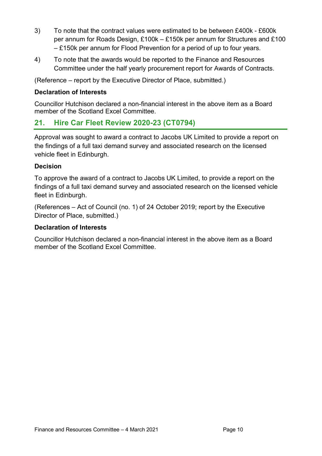- 3) To note that the contract values were estimated to be between £400k £600k per annum for Roads Design, £100k – £150k per annum for Structures and £100 – £150k per annum for Flood Prevention for a period of up to four years.
- 4) To note that the awards would be reported to the Finance and Resources Committee under the half yearly procurement report for Awards of Contracts.

(Reference – report by the Executive Director of Place, submitted.)

#### **Declaration of Interests**

Councillor Hutchison declared a non-financial interest in the above item as a Board member of the Scotland Excel Committee.

## **21. Hire Car Fleet Review 2020-23 (CT0794)**

Approval was sought to award a contract to Jacobs UK Limited to provide a report on the findings of a full taxi demand survey and associated research on the licensed vehicle fleet in Edinburgh.

#### **Decision**

To approve the award of a contract to Jacobs UK Limited, to provide a report on the findings of a full taxi demand survey and associated research on the licensed vehicle fleet in Edinburgh.

(References – Act of Council (no. 1) of 24 October 2019; report by the Executive Director of Place, submitted.)

#### **Declaration of Interests**

Councillor Hutchison declared a non-financial interest in the above item as a Board member of the Scotland Excel Committee.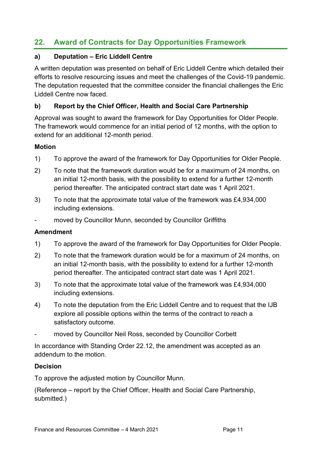## **22. Award of Contracts for Day Opportunities Framework**

#### **a) Deputation – Eric Liddell Centre**

A written deputation was presented on behalf of Eric Liddell Centre which detailed their efforts to resolve resourcing issues and meet the challenges of the Covid-19 pandemic. The deputation requested that the committee consider the financial challenges the Eric Liddell Centre now faced.

#### **b) Report by the Chief Officer, Health and Social Care Partnership**

Approval was sought to award the framework for Day Opportunities for Older People. The framework would commence for an initial period of 12 months, with the option to extend for an additional 12-month period.

#### **Motion**

- 1) To approve the award of the framework for Day Opportunities for Older People.
- 2) To note that the framework duration would be for a maximum of 24 months, on an initial 12-month basis, with the possibility to extend for a further 12-month period thereafter. The anticipated contract start date was 1 April 2021.
- 3) To note that the approximate total value of the framework was £4,934,000 including extensions.
- moved by Councillor Munn, seconded by Councillor Griffiths

#### **Amendment**

- 1) To approve the award of the framework for Day Opportunities for Older People.
- 2) To note that the framework duration would be for a maximum of 24 months, on an initial 12-month basis, with the possibility to extend for a further 12-month period thereafter. The anticipated contract start date was 1 April 2021.
- 3) To note that the approximate total value of the framework was £4,934,000 including extensions.
- 4) To note the deputation from the Eric Liddell Centre and to request that the IJB explore all possible options within the terms of the contract to reach a satisfactory outcome.
- moved by Councillor Neil Ross, seconded by Councillor Corbett

In accordance with Standing Order 22.12, the amendment was accepted as an addendum to the motion.

#### **Decision**

To approve the adjusted motion by Councillor Munn.

(Reference – report by the Chief Officer, Health and Social Care Partnership, submitted.)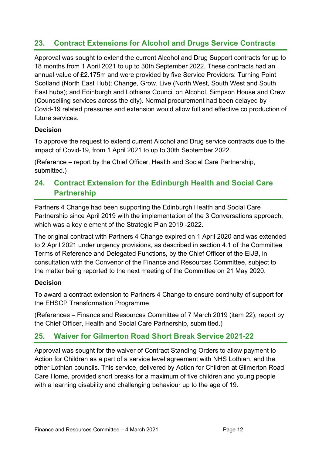## **23. Contract Extensions for Alcohol and Drugs Service Contracts**

Approval was sought to extend the current Alcohol and Drug Support contracts for up to 18 months from 1 April 2021 to up to 30th September 2022. These contracts had an annual value of £2.175m and were provided by five Service Providers: Turning Point Scotland (North East Hub); Change, Grow, Live (North West, South West and South East hubs); and Edinburgh and Lothians Council on Alcohol, Simpson House and Crew (Counselling services across the city). Normal procurement had been delayed by Covid-19 related pressures and extension would allow full and effective co production of future services.

#### **Decision**

To approve the request to extend current Alcohol and Drug service contracts due to the impact of Covid-19, from 1 April 2021 to up to 30th September 2022.

(Reference – report by the Chief Officer, Health and Social Care Partnership, submitted.)

## **24. Contract Extension for the Edinburgh Health and Social Care Partnership**

Partners 4 Change had been supporting the Edinburgh Health and Social Care Partnership since April 2019 with the implementation of the 3 Conversations approach, which was a key element of the Strategic Plan 2019 -2022.

The original contract with Partners 4 Change expired on 1 April 2020 and was extended to 2 April 2021 under urgency provisions, as described in section 4.1 of the Committee Terms of Reference and Delegated Functions, by the Chief Officer of the EIJB, in consultation with the Convenor of the Finance and Resources Committee, subject to the matter being reported to the next meeting of the Committee on 21 May 2020.

#### **Decision**

To award a contract extension to Partners 4 Change to ensure continuity of support for the EHSCP Transformation Programme.

(References – Finance and Resources Committee of 7 March 2019 (item 22); report by the Chief Officer, Health and Social Care Partnership, submitted.)

## **25. Waiver for Gilmerton Road Short Break Service 2021-22**

Approval was sought for the waiver of Contract Standing Orders to allow payment to Action for Children as a part of a service level agreement with NHS Lothian, and the other Lothian councils. This service, delivered by Action for Children at Gilmerton Road Care Home, provided short breaks for a maximum of five children and young people with a learning disability and challenging behaviour up to the age of 19.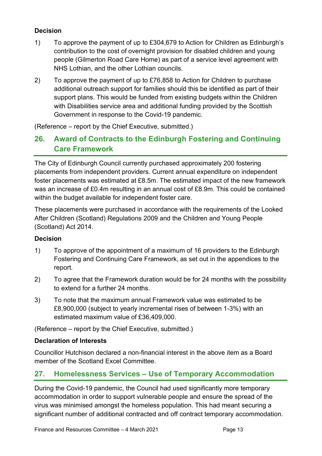#### **Decision**

- 1) To approve the payment of up to £304,679 to Action for Children as Edinburgh's contribution to the cost of overnight provision for disabled children and young people (Gilmerton Road Care Home) as part of a service level agreement with NHS Lothian, and the other Lothian councils.
- 2) To approve the payment of up to £76,858 to Action for Children to purchase additional outreach support for families should this be identified as part of their support plans. This would be funded from existing budgets within the Children with Disabilities service area and additional funding provided by the Scottish Government in response to the Covid-19 pandemic.

(Reference – report by the Chief Executive, submitted.)

## **26. Award of Contracts to the Edinburgh Fostering and Continuing Care Framework**

The City of Edinburgh Council currently purchased approximately 200 fostering placements from independent providers. Current annual expenditure on independent foster placements was estimated at £8.5m. The estimated impact of the new framework was an increase of £0.4m resulting in an annual cost of £8.9m. This could be contained within the budget available for independent foster care.

These placements were purchased in accordance with the requirements of the Looked After Children (Scotland) Regulations 2009 and the Children and Young People (Scotland) Act 2014.

#### **Decision**

- 1) To approve of the appointment of a maximum of 16 providers to the Edinburgh Fostering and Continuing Care Framework, as set out in the appendices to the report.
- 2) To agree that the Framework duration would be for 24 months with the possibility to extend for a further 24 months.
- 3) To note that the maximum annual Framework value was estimated to be £8,900,000 (subject to yearly incremental rises of between 1-3%) with an estimated maximum value of £36,409,000.

(Reference – report by the Chief Executive, submitted.)

#### **Declaration of Interests**

Councillor Hutchison declared a non-financial interest in the above item as a Board member of the Scotland Excel Committee.

## **27. Homelessness Services – Use of Temporary Accommodation**

During the Covid-19 pandemic, the Council had used significantly more temporary accommodation in order to support vulnerable people and ensure the spread of the virus was minimised amongst the homeless population. This had meant securing a significant number of additional contracted and off contract temporary accommodation.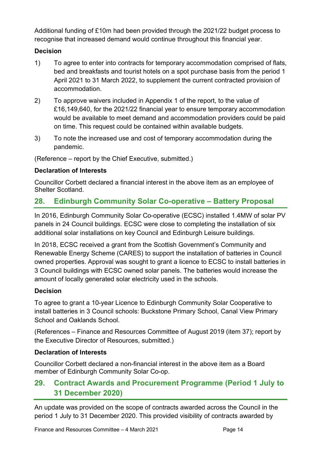Additional funding of £10m had been provided through the 2021/22 budget process to recognise that increased demand would continue throughout this financial year.

#### **Decision**

- 1) To agree to enter into contracts for temporary accommodation comprised of flats, bed and breakfasts and tourist hotels on a spot purchase basis from the period 1 April 2021 to 31 March 2022, to supplement the current contracted provision of accommodation.
- 2) To approve waivers included in Appendix 1 of the report, to the value of £16,149,640, for the 2021/22 financial year to ensure temporary accommodation would be available to meet demand and accommodation providers could be paid on time. This request could be contained within available budgets.
- 3) To note the increased use and cost of temporary accommodation during the pandemic.

(Reference – report by the Chief Executive, submitted.)

#### **Declaration of Interests**

Councillor Corbett declared a financial interest in the above item as an employee of Shelter Scotland.

## **28. Edinburgh Community Solar Co-operative – Battery Proposal**

In 2016, Edinburgh Community Solar Co-operative (ECSC) installed 1.4MW of solar PV panels in 24 Council buildings. ECSC were close to completing the installation of six additional solar installations on key Council and Edinburgh Leisure buildings.

In 2018, ECSC received a grant from the Scottish Government's Community and Renewable Energy Scheme (CARES) to support the installation of batteries in Council owned properties. Approval was sought to grant a licence to ECSC to install batteries in 3 Council buildings with ECSC owned solar panels. The batteries would increase the amount of locally generated solar electricity used in the schools.

#### **Decision**

To agree to grant a 10-year Licence to Edinburgh Community Solar Cooperative to install batteries in 3 Council schools: Buckstone Primary School, Canal View Primary School and Oaklands School.

(References – Finance and Resources Committee of August 2019 (item 37); report by the Executive Director of Resources, submitted.)

#### **Declaration of Interests**

Councillor Corbett declared a non-financial interest in the above item as a Board member of Edinburgh Community Solar Co-op.

## **29. Contract Awards and Procurement Programme (Period 1 July to 31 December 2020)**

An update was provided on the scope of contracts awarded across the Council in the period 1 July to 31 December 2020. This provided visibility of contracts awarded by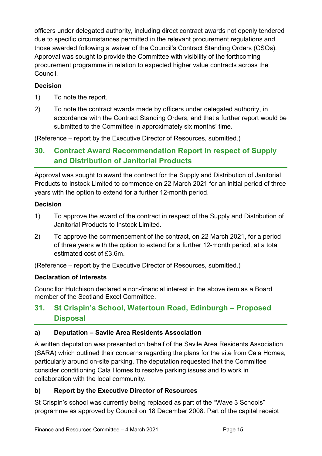officers under delegated authority, including direct contract awards not openly tendered due to specific circumstances permitted in the relevant procurement regulations and those awarded following a waiver of the Council's Contract Standing Orders (CSOs). Approval was sought to provide the Committee with visibility of the forthcoming procurement programme in relation to expected higher value contracts across the Council.

#### **Decision**

- 1) To note the report.
- 2) To note the contract awards made by officers under delegated authority, in accordance with the Contract Standing Orders, and that a further report would be submitted to the Committee in approximately six months' time.

(Reference – report by the Executive Director of Resources, submitted.)

## **30. Contract Award Recommendation Report in respect of Supply and Distribution of Janitorial Products**

Approval was sought to award the contract for the Supply and Distribution of Janitorial Products to Instock Limited to commence on 22 March 2021 for an initial period of three years with the option to extend for a further 12-month period.

#### **Decision**

- 1) To approve the award of the contract in respect of the Supply and Distribution of Janitorial Products to Instock Limited.
- 2) To approve the commencement of the contract, on 22 March 2021, for a period of three years with the option to extend for a further 12-month period, at a total estimated cost of £3.6m.

(Reference – report by the Executive Director of Resources, submitted.)

#### **Declaration of Interests**

Councillor Hutchison declared a non-financial interest in the above item as a Board member of the Scotland Excel Committee.

## **31. St Crispin's School, Watertoun Road, Edinburgh – Proposed Disposal**

#### **a) Deputation – Savile Area Residents Association**

A written deputation was presented on behalf of the Savile Area Residents Association (SARA) which outlined their concerns regarding the plans for the site from Cala Homes, particularly around on-site parking. The deputation requested that the Committee consider conditioning Cala Homes to resolve parking issues and to work in collaboration with the local community.

#### **b) Report by the Executive Director of Resources**

St Crispin's school was currently being replaced as part of the "Wave 3 Schools" programme as approved by Council on 18 December 2008. Part of the capital receipt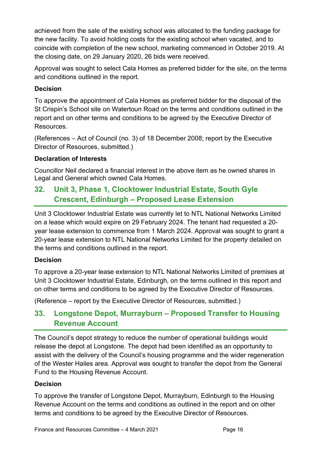achieved from the sale of the existing school was allocated to the funding package for the new facility. To avoid holding costs for the existing school when vacated, and to coincide with completion of the new school, marketing commenced in October 2019. At the closing date, on 29 January 2020, 26 bids were received.

Approval was sought to select Cala Homes as preferred bidder for the site, on the terms and conditions outlined in the report.

#### **Decision**

To approve the appointment of Cala Homes as preferred bidder for the disposal of the St Crispin's School site on Watertoun Road on the terms and conditions outlined in the report and on other terms and conditions to be agreed by the Executive Director of Resources.

(References – Act of Council (no. 3) of 18 December 2008; report by the Executive Director of Resources, submitted.)

#### **Declaration of Interests**

Councillor Neil declared a financial interest in the above item as he owned shares in Legal and General which owned Cala Homes.

## **32. Unit 3, Phase 1, Clocktower Industrial Estate, South Gyle Crescent, Edinburgh – Proposed Lease Extension**

Unit 3 Clocktower Industrial Estate was currently let to NTL National Networks Limited on a lease which would expire on 29 February 2024. The tenant had requested a 20 year lease extension to commence from 1 March 2024. Approval was sought to grant a 20-year lease extension to NTL National Networks Limited for the property detailed on the terms and conditions outlined in the report.

#### **Decision**

To approve a 20-year lease extension to NTL National Networks Limited of premises at Unit 3 Clocktower Industrial Estate, Edinburgh, on the terms outlined in this report and on other terms and conditions to be agreed by the Executive Director of Resources.

(Reference – report by the Executive Director of Resources, submitted.)

## **33. Longstone Depot, Murrayburn – Proposed Transfer to Housing Revenue Account**

The Council's depot strategy to reduce the number of operational buildings would release the depot at Longstone. The depot had been identified as an opportunity to assist with the delivery of the Council's housing programme and the wider regeneration of the Wester Hailes area. Approval was sought to transfer the depot from the General Fund to the Housing Revenue Account.

#### **Decision**

To approve the transfer of Longstone Depot, Murrayburn, Edinburgh to the Housing Revenue Account on the terms and conditions as outlined in the report and on other terms and conditions to be agreed by the Executive Director of Resources.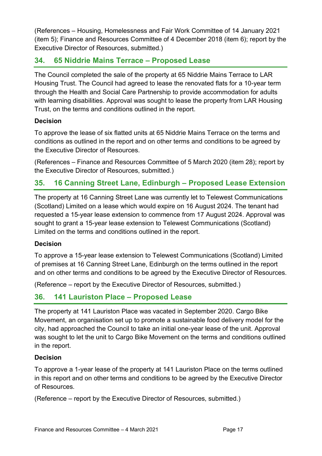(References – Housing, Homelessness and Fair Work Committee of 14 January 2021 (item 5); Finance and Resources Committee of 4 December 2018 (item 6); report by the Executive Director of Resources, submitted.)

## **34. 65 Niddrie Mains Terrace – Proposed Lease**

The Council completed the sale of the property at 65 Niddrie Mains Terrace to LAR Housing Trust. The Council had agreed to lease the renovated flats for a 10-year term through the Health and Social Care Partnership to provide accommodation for adults with learning disabilities. Approval was sought to lease the property from LAR Housing Trust, on the terms and conditions outlined in the report.

#### **Decision**

To approve the lease of six flatted units at 65 Niddrie Mains Terrace on the terms and conditions as outlined in the report and on other terms and conditions to be agreed by the Executive Director of Resources.

(References – Finance and Resources Committee of 5 March 2020 (item 28); report by the Executive Director of Resources, submitted.)

## **35. 16 Canning Street Lane, Edinburgh – Proposed Lease Extension**

The property at 16 Canning Street Lane was currently let to Telewest Communications (Scotland) Limited on a lease which would expire on 16 August 2024. The tenant had requested a 15-year lease extension to commence from 17 August 2024. Approval was sought to grant a 15-year lease extension to Telewest Communications (Scotland) Limited on the terms and conditions outlined in the report.

#### **Decision**

To approve a 15-year lease extension to Telewest Communications (Scotland) Limited of premises at 16 Canning Street Lane, Edinburgh on the terms outlined in the report and on other terms and conditions to be agreed by the Executive Director of Resources.

(Reference – report by the Executive Director of Resources, submitted.)

## **36. 141 Lauriston Place – Proposed Lease**

The property at 141 Lauriston Place was vacated in September 2020. Cargo Bike Movement, an organisation set up to promote a sustainable food delivery model for the city, had approached the Council to take an initial one-year lease of the unit. Approval was sought to let the unit to Cargo Bike Movement on the terms and conditions outlined in the report.

#### **Decision**

To approve a 1-year lease of the property at 141 Lauriston Place on the terms outlined in this report and on other terms and conditions to be agreed by the Executive Director of Resources.

(Reference – report by the Executive Director of Resources, submitted.)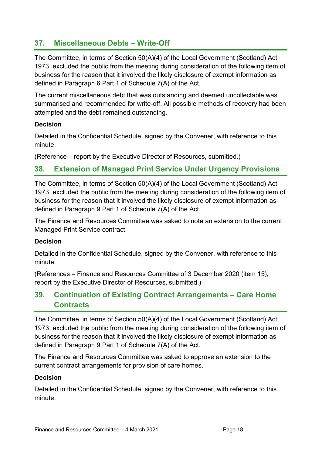## **37. Miscellaneous Debts – Write-Off**

The Committee, in terms of Section 50(A)(4) of the Local Government (Scotland) Act 1973, excluded the public from the meeting during consideration of the following item of business for the reason that it involved the likely disclosure of exempt information as defined in Paragraph 6 Part 1 of Schedule 7(A) of the Act.

The current miscellaneous debt that was outstanding and deemed uncollectable was summarised and recommended for write-off. All possible methods of recovery had been attempted and the debt remained outstanding.

#### **Decision**

Detailed in the Confidential Schedule, signed by the Convener, with reference to this minute.

(Reference – report by the Executive Director of Resources, submitted.)

## **38. Extension of Managed Print Service Under Urgency Provisions**

The Committee, in terms of Section 50(A)(4) of the Local Government (Scotland) Act 1973, excluded the public from the meeting during consideration of the following item of business for the reason that it involved the likely disclosure of exempt information as defined in Paragraph 9 Part 1 of Schedule 7(A) of the Act.

The Finance and Resources Committee was asked to note an extension to the current Managed Print Service contract.

#### **Decision**

Detailed in the Confidential Schedule, signed by the Convener, with reference to this minute.

(References – Finance and Resources Committee of 3 December 2020 (item 15); report by the Executive Director of Resources, submitted.)

## **39. Continuation of Existing Contract Arrangements – Care Home Contracts**

The Committee, in terms of Section 50(A)(4) of the Local Government (Scotland) Act 1973, excluded the public from the meeting during consideration of the following item of business for the reason that it involved the likely disclosure of exempt information as defined in Paragraph 9 Part 1 of Schedule 7(A) of the Act.

The Finance and Resources Committee was asked to approve an extension to the current contract arrangements for provision of care homes.

#### **Decision**

Detailed in the Confidential Schedule, signed by the Convener, with reference to this minute.